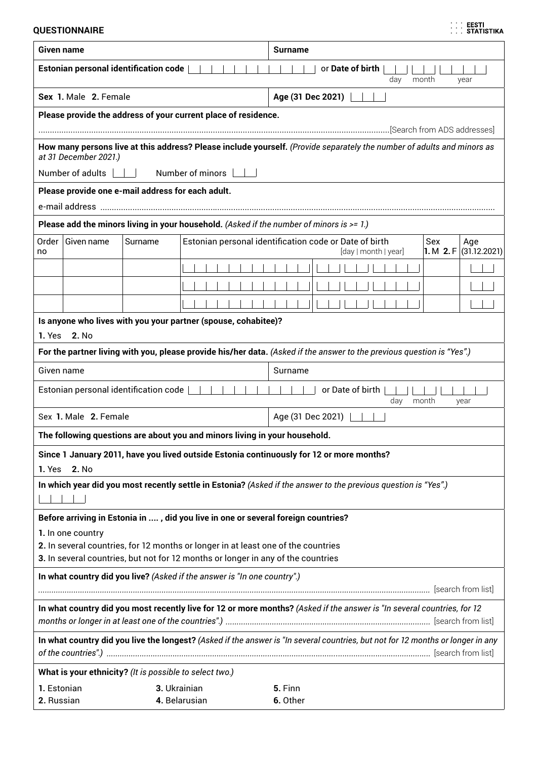**QUESTIONNAIRE**

|  | <b>EESTI</b>      |
|--|-------------------|
|  |                   |
|  | <b>STATISTIKA</b> |

| Given name                                                                                                                      |                                                                                                                                                 |         |                    |  |  | <b>Surname</b> |          |  |                   |                                                                                |  |     |                                   |
|---------------------------------------------------------------------------------------------------------------------------------|-------------------------------------------------------------------------------------------------------------------------------------------------|---------|--------------------|--|--|----------------|----------|--|-------------------|--------------------------------------------------------------------------------|--|-----|-----------------------------------|
| <b>Estonian personal identification code</b><br>or Date of birth<br>day<br>month<br>year                                        |                                                                                                                                                 |         |                    |  |  |                |          |  |                   |                                                                                |  |     |                                   |
|                                                                                                                                 | Sex 1. Male 2. Female                                                                                                                           |         |                    |  |  |                |          |  | Age (31 Dec 2021) |                                                                                |  |     |                                   |
|                                                                                                                                 | Please provide the address of your current place of residence.                                                                                  |         |                    |  |  |                |          |  |                   |                                                                                |  |     |                                   |
|                                                                                                                                 |                                                                                                                                                 |         |                    |  |  |                |          |  |                   |                                                                                |  |     |                                   |
|                                                                                                                                 | How many persons live at this address? Please include yourself. (Provide separately the number of adults and minors as<br>at 31 December 2021.) |         |                    |  |  |                |          |  |                   |                                                                                |  |     |                                   |
|                                                                                                                                 | Number of adults                                                                                                                                |         | Number of minors [ |  |  |                |          |  |                   |                                                                                |  |     |                                   |
|                                                                                                                                 | Please provide one e-mail address for each adult.                                                                                               |         |                    |  |  |                |          |  |                   |                                                                                |  |     |                                   |
|                                                                                                                                 |                                                                                                                                                 |         |                    |  |  |                |          |  |                   |                                                                                |  |     |                                   |
|                                                                                                                                 | Please add the minors living in your household. (Asked if the number of minors is $> = 1$ .)                                                    |         |                    |  |  |                |          |  |                   |                                                                                |  |     |                                   |
| Order<br>no                                                                                                                     | Given name                                                                                                                                      | Surname |                    |  |  |                |          |  |                   | Estonian personal identification code or Date of birth<br>[day   month   year] |  | Sex | Age<br>1. M 2. F $ (31.12.2021) $ |
|                                                                                                                                 |                                                                                                                                                 |         |                    |  |  |                |          |  |                   |                                                                                |  |     |                                   |
|                                                                                                                                 |                                                                                                                                                 |         |                    |  |  |                |          |  |                   |                                                                                |  |     |                                   |
|                                                                                                                                 |                                                                                                                                                 |         |                    |  |  |                |          |  |                   |                                                                                |  |     |                                   |
|                                                                                                                                 | Is anyone who lives with you your partner (spouse, cohabitee)?                                                                                  |         |                    |  |  |                |          |  |                   |                                                                                |  |     |                                   |
| 1. Yes                                                                                                                          | 2. No                                                                                                                                           |         |                    |  |  |                |          |  |                   |                                                                                |  |     |                                   |
|                                                                                                                                 | For the partner living with you, please provide his/her data. (Asked if the answer to the previous question is "Yes".)                          |         |                    |  |  |                |          |  |                   |                                                                                |  |     |                                   |
| Given name                                                                                                                      |                                                                                                                                                 |         |                    |  |  |                | Surname  |  |                   |                                                                                |  |     |                                   |
| Estonian personal identification code<br>or Date of birth<br>month<br>day<br>year                                               |                                                                                                                                                 |         |                    |  |  |                |          |  |                   |                                                                                |  |     |                                   |
| Sex 1. Male 2. Female<br>Age (31 Dec 2021)                                                                                      |                                                                                                                                                 |         |                    |  |  |                |          |  |                   |                                                                                |  |     |                                   |
| The following questions are about you and minors living in your household.                                                      |                                                                                                                                                 |         |                    |  |  |                |          |  |                   |                                                                                |  |     |                                   |
|                                                                                                                                 | Since 1 January 2011, have you lived outside Estonia continuously for 12 or more months?                                                        |         |                    |  |  |                |          |  |                   |                                                                                |  |     |                                   |
| 1. Yes<br>2. No                                                                                                                 |                                                                                                                                                 |         |                    |  |  |                |          |  |                   |                                                                                |  |     |                                   |
|                                                                                                                                 | In which year did you most recently settle in Estonia? (Asked if the answer to the previous question is "Yes".)                                 |         |                    |  |  |                |          |  |                   |                                                                                |  |     |                                   |
|                                                                                                                                 | Before arriving in Estonia in , did you live in one or several foreign countries?                                                               |         |                    |  |  |                |          |  |                   |                                                                                |  |     |                                   |
|                                                                                                                                 | 1. In one country                                                                                                                               |         |                    |  |  |                |          |  |                   |                                                                                |  |     |                                   |
|                                                                                                                                 | 2. In several countries, for 12 months or longer in at least one of the countries                                                               |         |                    |  |  |                |          |  |                   |                                                                                |  |     |                                   |
|                                                                                                                                 | 3. In several countries, but not for 12 months or longer in any of the countries                                                                |         |                    |  |  |                |          |  |                   |                                                                                |  |     |                                   |
| In what country did you live? (Asked if the answer is "In one country".)                                                        |                                                                                                                                                 |         |                    |  |  |                |          |  |                   |                                                                                |  |     |                                   |
| In what country did you most recently live for 12 or more months? (Asked if the answer is "In several countries, for 12         |                                                                                                                                                 |         |                    |  |  |                |          |  |                   |                                                                                |  |     |                                   |
| In what country did you live the longest? (Asked if the answer is "In several countries, but not for 12 months or longer in any |                                                                                                                                                 |         |                    |  |  |                |          |  |                   |                                                                                |  |     |                                   |
| What is your ethnicity? (It is possible to select two.)                                                                         |                                                                                                                                                 |         |                    |  |  |                |          |  |                   |                                                                                |  |     |                                   |
| 1. Estonian<br>3. Ukrainian<br>5. Finn                                                                                          |                                                                                                                                                 |         |                    |  |  |                |          |  |                   |                                                                                |  |     |                                   |
| 2. Russian                                                                                                                      |                                                                                                                                                 |         | 4. Belarusian      |  |  |                | 6. Other |  |                   |                                                                                |  |     |                                   |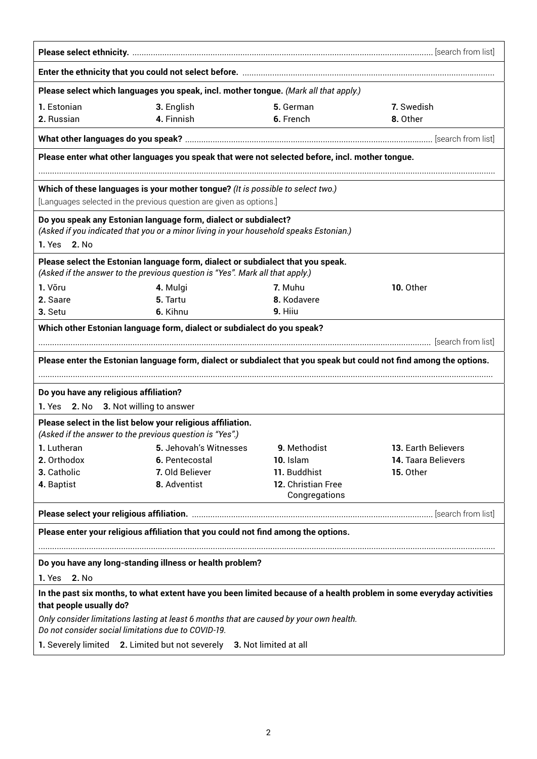|                                                                                                                                                 | Please select which languages you speak, incl. mother tongue. (Mark all that apply.)                                                                             |                                     |                                                                                                                     |  |  |  |  |
|-------------------------------------------------------------------------------------------------------------------------------------------------|------------------------------------------------------------------------------------------------------------------------------------------------------------------|-------------------------------------|---------------------------------------------------------------------------------------------------------------------|--|--|--|--|
| 1. Estonian<br>2. Russian                                                                                                                       | 3. English<br>4. Finnish                                                                                                                                         | 5. German<br>6. French              | 7. Swedish<br>8. Other                                                                                              |  |  |  |  |
|                                                                                                                                                 |                                                                                                                                                                  |                                     |                                                                                                                     |  |  |  |  |
| Please enter what other languages you speak that were not selected before, incl. mother tongue.                                                 |                                                                                                                                                                  |                                     |                                                                                                                     |  |  |  |  |
|                                                                                                                                                 | Which of these languages is your mother tongue? (It is possible to select two.)                                                                                  |                                     |                                                                                                                     |  |  |  |  |
|                                                                                                                                                 | [Languages selected in the previous question are given as options.]                                                                                              |                                     |                                                                                                                     |  |  |  |  |
| 1. Yes<br><b>2. No</b>                                                                                                                          | Do you speak any Estonian language form, dialect or subdialect?<br>(Asked if you indicated that you or a minor living in your household speaks Estonian.)        |                                     |                                                                                                                     |  |  |  |  |
|                                                                                                                                                 | Please select the Estonian language form, dialect or subdialect that you speak.<br>(Asked if the answer to the previous question is "Yes". Mark all that apply.) |                                     |                                                                                                                     |  |  |  |  |
| 1. Võru                                                                                                                                         | 4. Mulgi                                                                                                                                                         | 7. Muhu                             | 10. Other                                                                                                           |  |  |  |  |
| 2. Saare                                                                                                                                        | 5. Tartu                                                                                                                                                         | 8. Kodavere                         |                                                                                                                     |  |  |  |  |
| 3. Setu                                                                                                                                         | 6. Kihnu                                                                                                                                                         | 9. Hiiu                             |                                                                                                                     |  |  |  |  |
|                                                                                                                                                 | Which other Estonian language form, dialect or subdialect do you speak?                                                                                          |                                     | Please enter the Estonian language form, dialect or subdialect that you speak but could not find among the options. |  |  |  |  |
|                                                                                                                                                 |                                                                                                                                                                  |                                     |                                                                                                                     |  |  |  |  |
| Do you have any religious affiliation?                                                                                                          |                                                                                                                                                                  |                                     |                                                                                                                     |  |  |  |  |
| 1. Yes 2. No 3. Not willing to answer                                                                                                           |                                                                                                                                                                  |                                     |                                                                                                                     |  |  |  |  |
| (Asked if the answer to the previous question is "Yes".)                                                                                        | Please select in the list below your religious affiliation.                                                                                                      |                                     |                                                                                                                     |  |  |  |  |
| 1. Lutheran                                                                                                                                     | 5. Jehovah's Witnesses                                                                                                                                           | 9. Methodist                        | 13. Earth Believers                                                                                                 |  |  |  |  |
| 2. Orthodox                                                                                                                                     | 6. Pentecostal                                                                                                                                                   | 10. Islam                           | 14. Taara Believers                                                                                                 |  |  |  |  |
| 3. Catholic                                                                                                                                     | 7. Old Believer                                                                                                                                                  | 11. Buddhist                        | 15. Other                                                                                                           |  |  |  |  |
| 4. Baptist                                                                                                                                      | 8. Adventist                                                                                                                                                     | 12. Christian Free<br>Congregations |                                                                                                                     |  |  |  |  |
|                                                                                                                                                 |                                                                                                                                                                  |                                     |                                                                                                                     |  |  |  |  |
|                                                                                                                                                 | Please enter your religious affiliation that you could not find among the options.                                                                               |                                     |                                                                                                                     |  |  |  |  |
|                                                                                                                                                 |                                                                                                                                                                  |                                     |                                                                                                                     |  |  |  |  |
| Do you have any long-standing illness or health problem?                                                                                        |                                                                                                                                                                  |                                     |                                                                                                                     |  |  |  |  |
| 1. Yes 2. No                                                                                                                                    |                                                                                                                                                                  |                                     |                                                                                                                     |  |  |  |  |
| In the past six months, to what extent have you been limited because of a health problem in some everyday activities<br>that people usually do? |                                                                                                                                                                  |                                     |                                                                                                                     |  |  |  |  |
| Only consider limitations lasting at least 6 months that are caused by your own health.<br>Do not consider social limitations due to COVID-19.  |                                                                                                                                                                  |                                     |                                                                                                                     |  |  |  |  |
| 1. Severely limited 2. Limited but not severely<br>3. Not limited at all                                                                        |                                                                                                                                                                  |                                     |                                                                                                                     |  |  |  |  |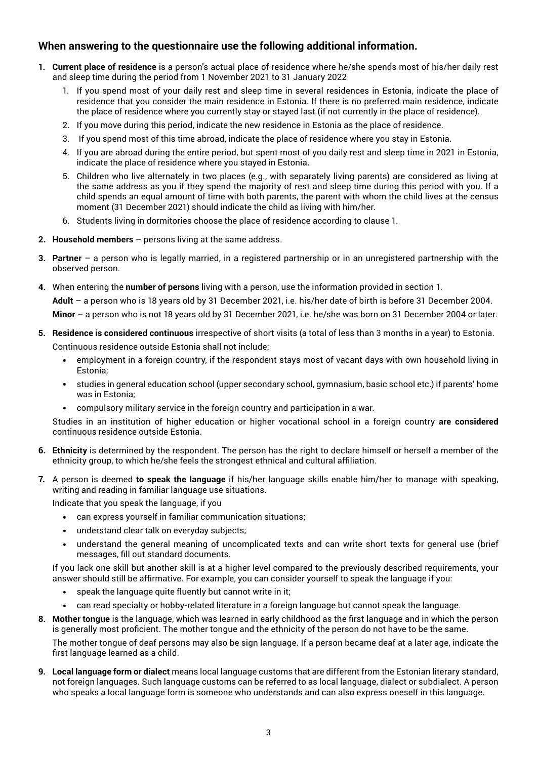## **When answering to the questionnaire use the following additional information.**

- **1. Current place of residence** is a person's actual place of residence where he/she spends most of his/her daily rest and sleep time during the period from 1 November 2021 to 31 January 2022
	- 1. If you spend most of your daily rest and sleep time in several residences in Estonia, indicate the place of residence that you consider the main residence in Estonia. If there is no preferred main residence, indicate the place of residence where you currently stay or stayed last (if not currently in the place of residence).
	- 2. If you move during this period, indicate the new residence in Estonia as the place of residence.
	- 3. If you spend most of this time abroad, indicate the place of residence where you stay in Estonia.
	- 4. If you are abroad during the entire period, but spent most of you daily rest and sleep time in 2021 in Estonia, indicate the place of residence where you stayed in Estonia.
	- 5. Children who live alternately in two places (e.g., with separately living parents) are considered as living at the same address as you if they spend the majority of rest and sleep time during this period with you. If a child spends an equal amount of time with both parents, the parent with whom the child lives at the census moment (31 December 2021) should indicate the child as living with him/her.
	- 6. Students living in dormitories choose the place of residence according to clause 1.
- **2. Household members**  persons living at the same address.
- **3. Partner**  a person who is legally married, in a registered partnership or in an unregistered partnership with the observed person.
- **4.** When entering the **number of persons** living with a person, use the information provided in section 1.

**Adult** – a person who is 18 years old by 31 December 2021, i.e. his/her date of birth is before 31 December 2004.

**Minor** – a person who is not 18 years old by 31 December 2021, i.e. he/she was born on 31 December 2004 or later.

- **5. Residence is considered continuous** irrespective of short visits (a total of less than 3 months in a year) to Estonia. Continuous residence outside Estonia shall not include:
	- employment in a foreign country, if the respondent stays most of vacant days with own household living in Estonia;
	- studies in general education school (upper secondary school, gymnasium, basic school etc.) if parents' home was in Estonia;
	- compulsory military service in the foreign country and participation in a war.

Studies in an institution of higher education or higher vocational school in a foreign country **are considered**  continuous residence outside Estonia.

- **6. Ethnicity** is determined by the respondent. The person has the right to declare himself or herself a member of the ethnicity group, to which he/she feels the strongest ethnical and cultural affiliation.
- **7.** A person is deemed **to speak the language** if his/her language skills enable him/her to manage with speaking, writing and reading in familiar language use situations.

Indicate that you speak the language, if you

- can express yourself in familiar communication situations;
- understand clear talk on everyday subjects;
- understand the general meaning of uncomplicated texts and can write short texts for general use (brief messages, fill out standard documents.

If you lack one skill but another skill is at a higher level compared to the previously described requirements, your answer should still be affirmative. For example, you can consider yourself to speak the language if you:

- speak the language quite fluently but cannot write in it:
- can read specialty or hobby-related literature in a foreign language but cannot speak the language.
- **8. Mother tongue** is the language, which was learned in early childhood as the first language and in which the person is generally most proficient. The mother tongue and the ethnicity of the person do not have to be the same.

The mother tongue of deaf persons may also be sign language. If a person became deaf at a later age, indicate the first language learned as a child.

**9. Local language form or dialect** means local language customs that are different from the Estonian literary standard, not foreign languages. Such language customs can be referred to as local language, dialect or subdialect. A person who speaks a local language form is someone who understands and can also express oneself in this language.